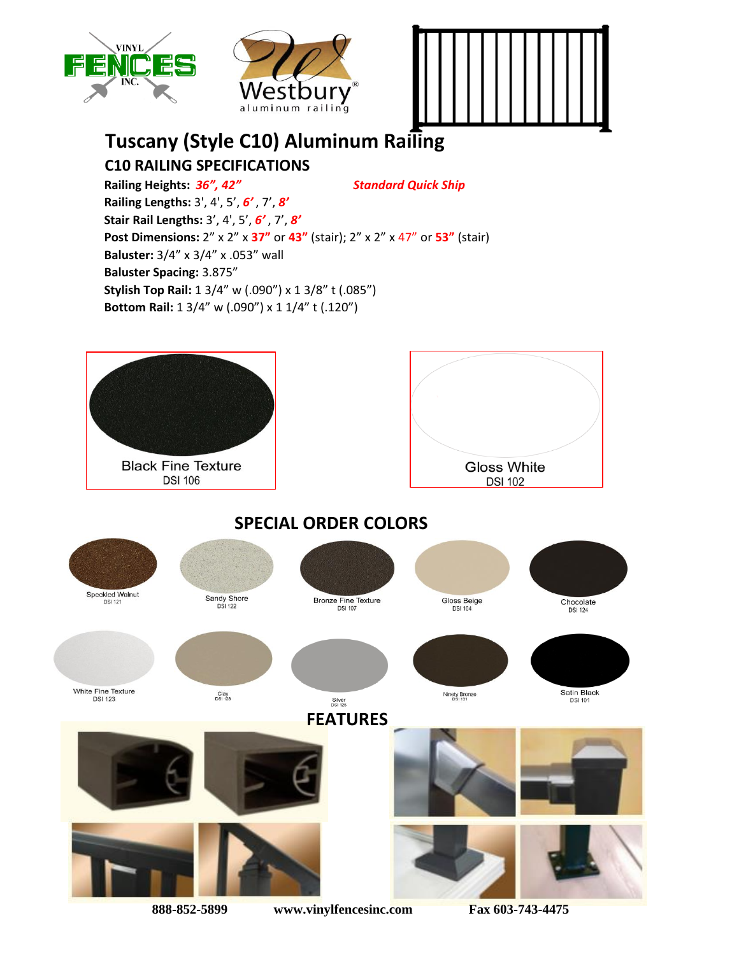





## **Tuscany (Style C10) Aluminum Railing C10 RAILING SPECIFICATIONS**

**Railing Heights:** *36", 42" Standard Quick Ship* **Railing Lengths:** 3', 4', 5', *6'* , 7', *8'* **Stair Rail Lengths:** 3', 4', 5', *6'* , 7', *8'* **Post Dimensions:** 2" x 2" x **37"** or **43"** (stair); 2" x 2" x 47" or **53"** (stair) **Baluster:** 3/4" x 3/4" x .053" wall **Baluster Spacing:** 3.875" **Stylish Top Rail:** 1 3/4" w (.090") x 1 3/8" t (.085") **Bottom Rail:** 1 3/4" w (.090") x 1 1/4" t (.120")

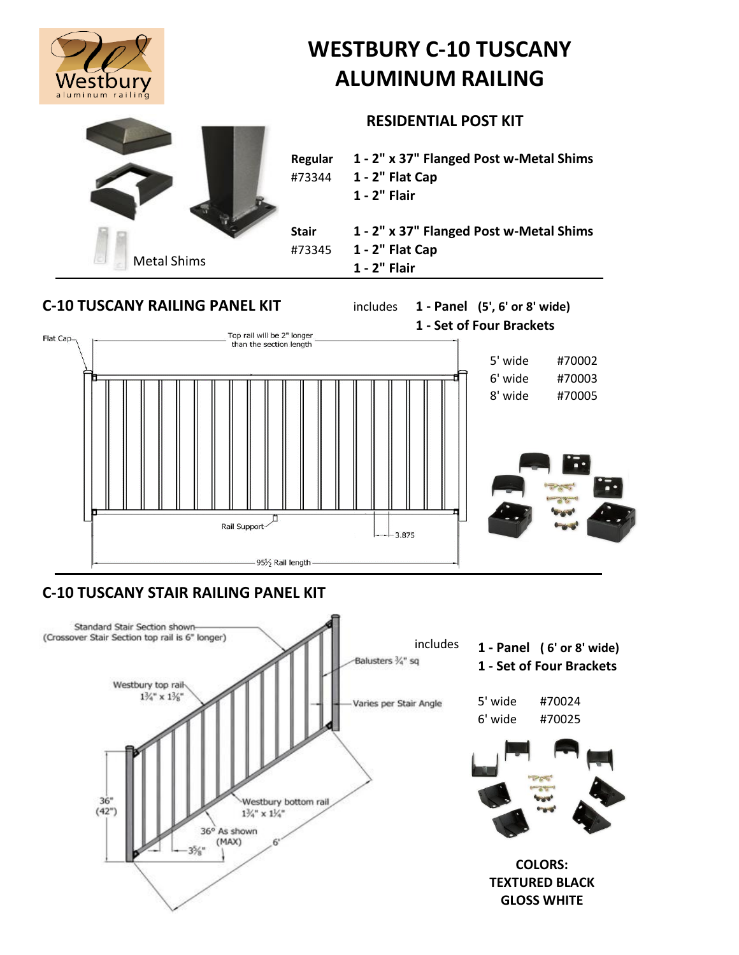

# **WESTBURY C-10 TUSCANY ALUMINUM RAILING**

#### **RESIDENTIAL POST KIT**



## **C-10 TUSCANY RAILING PANEL KIT** includes **1 - Panel (5', 6' or 8' wide) 1 - Set of Four Brackets** Top rail will be 2" longer Flat Capthan the section length 5' wide #70002 6' wide #70003 8' wide #70005 Rail Support- $+3.875$

95½ Rail length-

### **C-10 TUSCANY STAIR RAILING PANEL KIT**